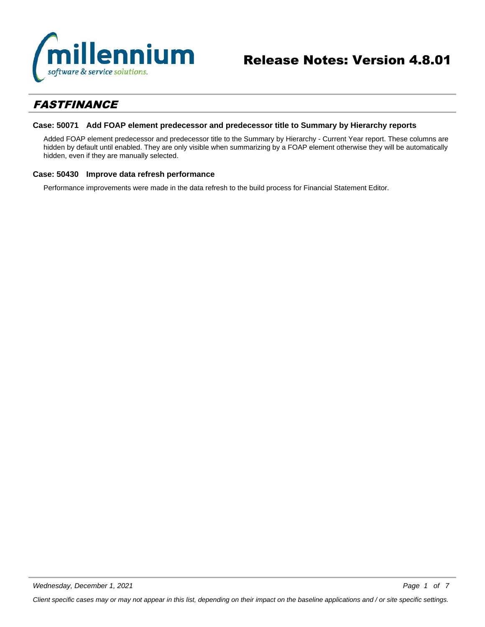

# *FASTFINANCE*

# **Case: 50071 Add FOAP element predecessor and predecessor title to Summary by Hierarchy reports**

Added FOAP element predecessor and predecessor title to the Summary by Hierarchy - Current Year report. These columns are hidden by default until enabled. They are only visible when summarizing by a FOAP element otherwise they will be automatically hidden, even if they are manually selected.

## **Case: 50430 Improve data refresh performance**

Performance improvements were made in the data refresh to the build process for Financial Statement Editor.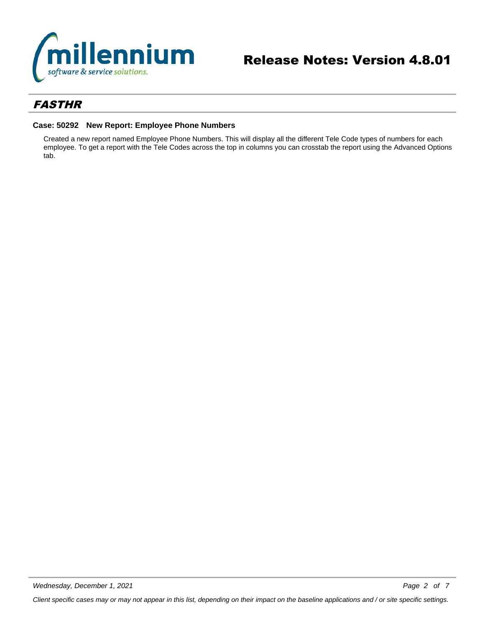

# *FASTHR*

# **Case: 50292 New Report: Employee Phone Numbers**

Created a new report named Employee Phone Numbers. This will display all the different Tele Code types of numbers for each employee. To get a report with the Tele Codes across the top in columns you can crosstab the report using the Advanced Options tab.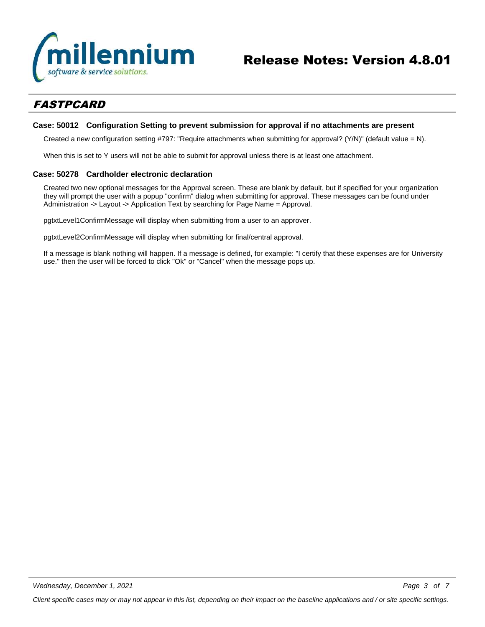

# *FASTPCARD*

## **Case: 50012 Configuration Setting to prevent submission for approval if no attachments are present**

Created a new configuration setting #797: "Require attachments when submitting for approval? (Y/N)" (default value = N).

When this is set to Y users will not be able to submit for approval unless there is at least one attachment.

# **Case: 50278 Cardholder electronic declaration**

Created two new optional messages for the Approval screen. These are blank by default, but if specified for your organization they will prompt the user with a popup "confirm" dialog when submitting for approval. These messages can be found under Administration -> Layout -> Application Text by searching for Page Name = Approval.

pgtxtLevel1ConfirmMessage will display when submitting from a user to an approver.

pgtxtLevel2ConfirmMessage will display when submitting for final/central approval.

If a message is blank nothing will happen. If a message is defined, for example: "I certify that these expenses are for University use." then the user will be forced to click "Ok" or "Cancel" when the message pops up.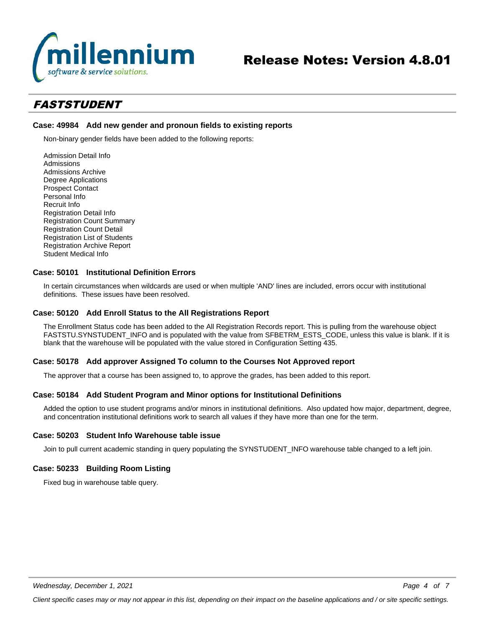

# Release Notes: Version 4.8.01

# *FASTSTUDENT*

# **Case: 49984 Add new gender and pronoun fields to existing reports**

Non-binary gender fields have been added to the following reports:

Admission Detail Info Admissions Admissions Archive Degree Applications Prospect Contact Personal Info Recruit Info Registration Detail Info Registration Count Summary Registration Count Detail Registration List of Students Registration Archive Report Student Medical Info

# **Case: 50101 Institutional Definition Errors**

In certain circumstances when wildcards are used or when multiple 'AND' lines are included, errors occur with institutional definitions. These issues have been resolved.

### **Case: 50120 Add Enroll Status to the All Registrations Report**

The Enrollment Status code has been added to the All Registration Records report. This is pulling from the warehouse object FASTSTU.SYNSTUDENT\_INFO and is populated with the value from SFBETRM\_ESTS\_CODE, unless this value is blank. If it is blank that the warehouse will be populated with the value stored in Configuration Setting 435.

### **Case: 50178 Add approver Assigned To column to the Courses Not Approved report**

The approver that a course has been assigned to, to approve the grades, has been added to this report.

## **Case: 50184 Add Student Program and Minor options for Institutional Definitions**

Added the option to use student programs and/or minors in institutional definitions. Also updated how major, department, degree, and concentration institutional definitions work to search all values if they have more than one for the term.

## **Case: 50203 Student Info Warehouse table issue**

Join to pull current academic standing in query populating the SYNSTUDENT\_INFO warehouse table changed to a left join.

# **Case: 50233 Building Room Listing**

Fixed bug in warehouse table query.

*Client specific cases may or may not appear in this list, depending on their impact on the baseline applications and / or site specific settings.*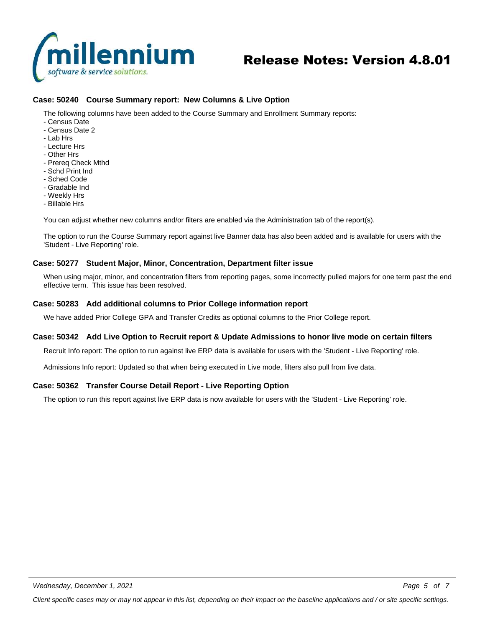

# Release Notes: Version 4.8.01

# **Case: 50240 Course Summary report: New Columns & Live Option**

The following columns have been added to the Course Summary and Enrollment Summary reports:

- Census Date
- Census Date 2
- Lab Hrs
- Lecture Hrs
- Other Hrs
- Prereq Check Mthd
- Schd Print Ind
- Sched Code
- Gradable Ind
- Weekly Hrs
- Billable Hrs

You can adjust whether new columns and/or filters are enabled via the Administration tab of the report(s).

The option to run the Course Summary report against live Banner data has also been added and is available for users with the 'Student - Live Reporting' role.

### **Case: 50277 Student Major, Minor, Concentration, Department filter issue**

When using major, minor, and concentration filters from reporting pages, some incorrectly pulled majors for one term past the end effective term. This issue has been resolved.

### **Case: 50283 Add additional columns to Prior College information report**

We have added Prior College GPA and Transfer Credits as optional columns to the Prior College report.

### **Case: 50342 Add Live Option to Recruit report & Update Admissions to honor live mode on certain filters**

Recruit Info report: The option to run against live ERP data is available for users with the 'Student - Live Reporting' role.

Admissions Info report: Updated so that when being executed in Live mode, filters also pull from live data.

### **Case: 50362 Transfer Course Detail Report - Live Reporting Option**

The option to run this report against live ERP data is now available for users with the 'Student - Live Reporting' role.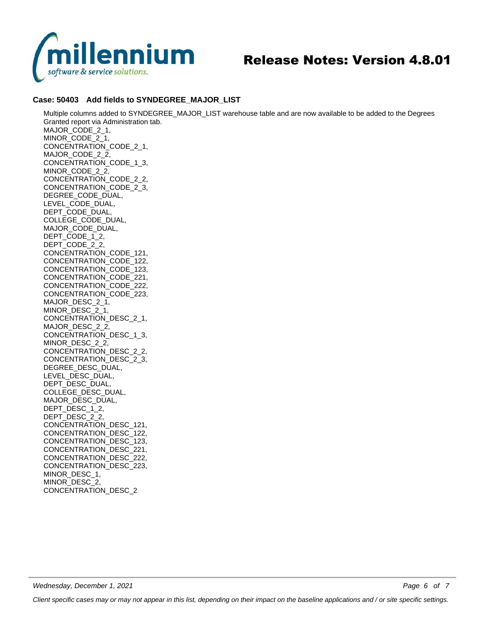

# Release Notes: Version 4.8.01

# **Case: 50403 Add fields to SYNDEGREE\_MAJOR\_LIST**

Multiple columns added to SYNDEGREE\_MAJOR\_LIST warehouse table and are now available to be added to the Degrees Granted report via Administration tab. MAJOR\_CODE\_2\_1, MINOR\_CODE\_2\_1, CONCENTRATION\_CODE\_2\_1, MAJOR\_CODE\_2\_2, CONCENTRATION\_CODE\_1\_3, MINOR\_CODE\_2\_2, CONCENTRATION\_CODE\_2\_2, CONCENTRATION\_CODE\_2\_3, DEGREE\_CODE\_DUAL, LEVEL\_CODE\_DUAL, DEPT\_CODE\_DUAL, COLLEGE\_CODE\_DUAL, MAJOR\_CODE\_DUAL, DEPT\_CODE\_1\_2, DEPT\_CODE\_2\_2, CONCENTRATION\_CODE\_121, CONCENTRATION\_CODE\_122, CONCENTRATION\_CODE\_123, CONCENTRATION\_CODE\_221, CONCENTRATION\_CODE\_222, CONCENTRATION\_CODE\_223, MAJOR\_DESC\_2\_1, MINOR\_DESC\_2\_1, CONCENTRATION\_DESC\_2\_1, MAJOR\_DESC\_2\_2, CONCENTRATION\_DESC\_1\_3, MINOR\_DESC\_2\_2, CONCENTRATION\_DESC\_2\_2, CONCENTRATION\_DESC\_2\_3, DEGREE\_DESC\_DUAL, LEVEL\_DESC\_DUAL, DEPT\_DESC\_DUAL, COLLEGE\_DESC\_DUAL, MAJOR\_DESC\_DUAL, DEPT\_DESC\_1\_2, DEPT\_DESC\_2\_2, CONCENTRATION\_DESC\_121, CONCENTRATION\_DESC\_122, CONCENTRATION\_DESC\_123, CONCENTRATION\_DESC\_221, CONCENTRATION\_DESC\_222, CONCENTRATION\_DESC\_223, MINOR\_DESC\_1, MINOR\_DESC\_2,

CONCENTRATION\_DESC\_2

*Page 6 of 7*